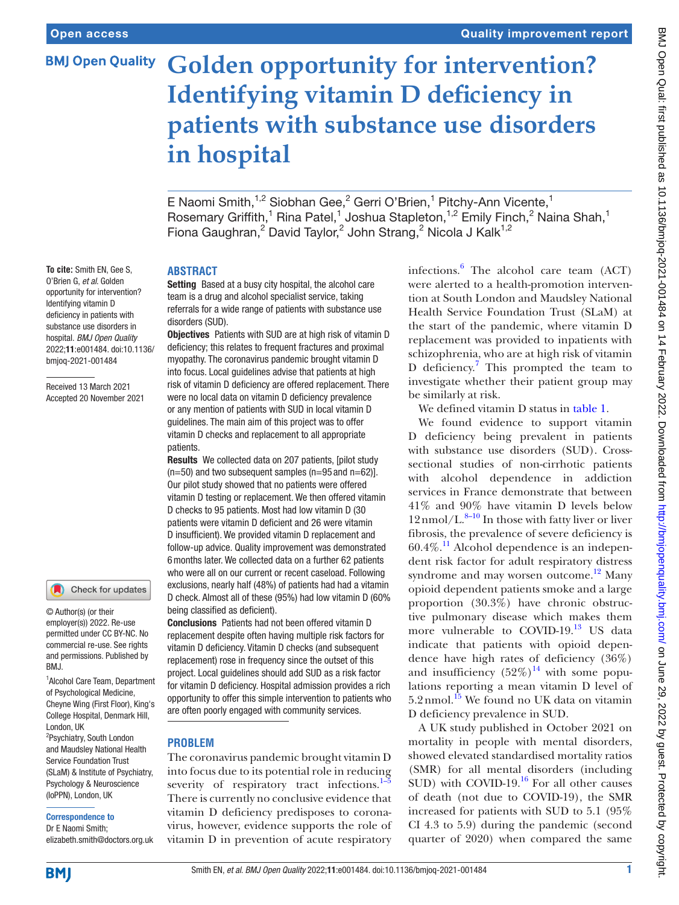### **BMJ Open Quality**

# **Golden opportunity for intervention? Identifying vitamin D deficiency in patients with substance use disorders in hospital**

E Naomi Smith,<sup>1,2</sup> Siobhan Gee,<sup>2</sup> Gerri O'Brien,<sup>1</sup> Pitchy-Ann Vicente,<sup>1</sup> Rosemary Griffith,<sup>1</sup> Rina Patel,<sup>1</sup> Joshua Stapleton,<sup>1,2</sup> Emily Finch,<sup>2</sup> Naina Shah,<sup>1</sup> Fiona Gaughran,<sup>2</sup> David Taylor,<sup>2</sup> John Strang,<sup>2</sup> Nicola J Kalk<sup>1,2</sup>

## **ABSTRACT**

Setting Based at a busy city hospital, the alcohol care team is a drug and alcohol specialist service, taking referrals for a wide range of patients with substance use disorders (SUD).

Objectives Patients with SUD are at high risk of vitamin D deficiency; this relates to frequent fractures and proximal myopathy. The coronavirus pandemic brought vitamin D into focus. Local guidelines advise that patients at high risk of vitamin D deficiency are offered replacement. There were no local data on vitamin D deficiency prevalence or any mention of patients with SUD in local vitamin D guidelines. The main aim of this project was to offer vitamin D checks and replacement to all appropriate patients.

Results We collected data on 207 patients, [pilot study  $(n=50)$  and two subsequent samples  $(n=95 \text{ and } n=62)$ ]. Our pilot study showed that no patients were offered vitamin D testing or replacement. We then offered vitamin D checks to 95 patients. Most had low vitamin D (30 patients were vitamin D deficient and 26 were vitamin D insufficient). We provided vitamin D replacement and follow-up advice. Quality improvement was demonstrated 6months later. We collected data on a further 62 patients who were all on our current or recent caseload. Following exclusions, nearly half (48%) of patients had had a vitamin D check. Almost all of these (95%) had low vitamin D (60% being classified as deficient).

Conclusions Patients had not been offered vitamin D replacement despite often having multiple risk factors for vitamin D deficiency. Vitamin D checks (and subsequent replacement) rose in frequency since the outset of this project. Local guidelines should add SUD as a risk factor for vitamin D deficiency. Hospital admission provides a rich opportunity to offer this simple intervention to patients who are often poorly engaged with community services.

#### **PROBLEM**

The coronavirus pandemic brought vitamin D into focus due to its potential role in reducing severity of respiratory tract infections.<sup>1–1</sup> There is currently no conclusive evidence that vitamin D deficiency predisposes to coronavirus, however, evidence supports the role of vitamin D in prevention of acute respiratory

infections. $\frac{6}{5}$  $\frac{6}{5}$  $\frac{6}{5}$  The alcohol care team (ACT) were alerted to a health-promotion intervention at South London and Maudsley National Health Service Foundation Trust (SLaM) at the start of the pandemic, where vitamin D replacement was provided to inpatients with schizophrenia, who are at high risk of vitamin D deficiency.<sup>[7](#page-5-2)</sup> This prompted the team to investigate whether their patient group may be similarly at risk.

We defined vitamin D status in [table](#page-1-0) 1.

We found evidence to support vitamin D deficiency being prevalent in patients with substance use disorders (SUD). Crosssectional studies of non-cirrhotic patients with alcohol dependence in addiction services in France demonstrate that between 41% and 90% have vitamin D levels below  $12$  nmol/L. $^{8-10}$  In those with fatty liver or liver fibrosis, the prevalence of severe deficiency is  $60.4\%$ .<sup>[11](#page-5-4)</sup> Alcohol dependence is an independent risk factor for adult respiratory distress syndrome and may worsen outcome.<sup>12</sup> Many opioid dependent patients smoke and a large proportion (30.3%) have chronic obstructive pulmonary disease which makes them more vulnerable to COVID-19.<sup>13</sup> US data indicate that patients with opioid dependence have high rates of deficiency (36%) and insufficiency  $(52\%)^{14}$  with some populations reporting a mean vitamin D level of  $5.2$ nmol.<sup>[15](#page-5-8)</sup> We found no UK data on vitamin D deficiency prevalence in SUD.

A UK study published in October 2021 on mortality in people with mental disorders, showed elevated standardised mortality ratios (SMR) for all mental disorders (including SUD) with COVID-19. $^{16}$  For all other causes of death (not due to COVID-19), the SMR increased for patients with SUD to 5.1 (95% CI 4.3 to 5.9) during the pandemic (second quarter of 2020) when compared the same

**To cite:** Smith EN, Gee S, O'Brien G, *et al*. Golden opportunity for intervention? Identifying vitamin D deficiency in patients with substance use disorders in hospital. *BMJ Open Quality* 2022;11:e001484. doi:10.1136/ bmjoq-2021-001484

Received 13 March 2021 Accepted 20 November 2021

#### Check for updates

© Author(s) (or their employer(s)) 2022. Re-use permitted under CC BY-NC. No commercial re-use. See rights and permissions. Published by BMJ.

1 Alcohol Care Team, Department of Psychological Medicine, Cheyne Wing (First Floor), King's College Hospital, Denmark Hill, London, UK

2 Psychiatry, South London and Maudsley National Health Service Foundation Trust (SLaM) & Institute of Psychiatry, Psychology & Neuroscience (IoPPN), London, UK

#### Correspondence to

Dr E Naomi Smith; elizabeth.smith@doctors.org.uk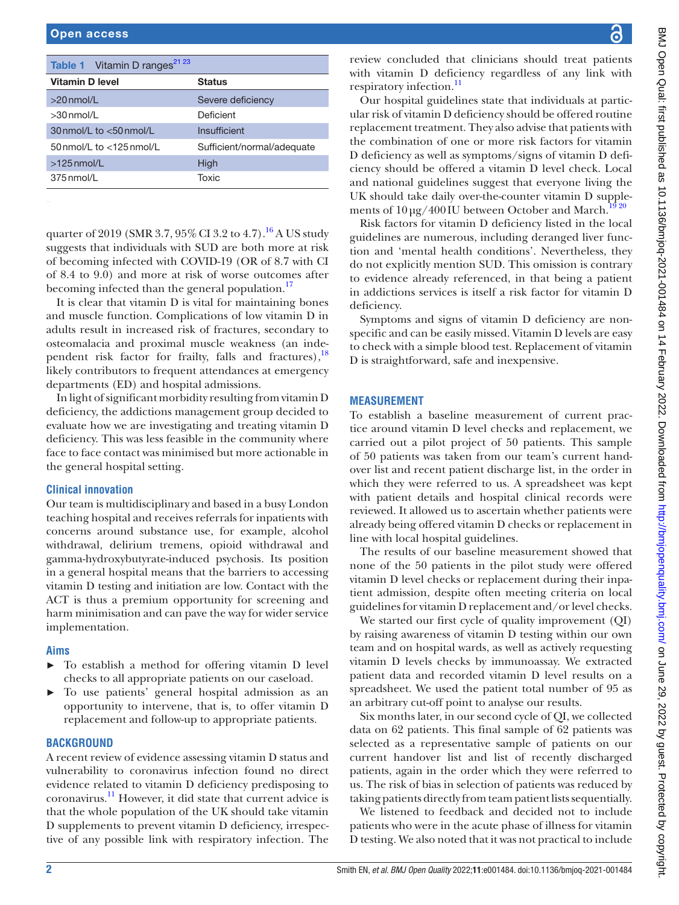<span id="page-1-0"></span>

| Table 1 Vitamin D ranges <sup>21 23</sup> |                            |
|-------------------------------------------|----------------------------|
| Vitamin D level                           | <b>Status</b>              |
| $>20$ nmol/L                              | Severe deficiency          |
| $>30$ nmol/l                              | Deficient                  |
| $30$ nmol/L to $< 50$ nmol/L              | Insufficient               |
| 50 nmol/L to $<$ 125 nmol/L               | Sufficient/normal/adequate |
| $>125$ nmol/L                             | High                       |
| 375 nmol/L                                | Toxic                      |

quarter of 2019 (SMR 3.7,  $95\%$  CI 3.2 to 4.7).<sup>16</sup> A US study suggests that individuals with SUD are both more at risk of becoming infected with COVID-19 (OR of 8.7 with CI of 8.4 to 9.0) and more at risk of worse outcomes after becoming infected than the general population.<sup>17</sup>

It is clear that vitamin D is vital for maintaining bones and muscle function. Complications of low vitamin D in adults result in increased risk of fractures, secondary to osteomalacia and proximal muscle weakness (an inde-pendent risk factor for frailty, falls and fractures),<sup>[18](#page-5-11)</sup> likely contributors to frequent attendances at emergency departments (ED) and hospital admissions.

In light of significant morbidity resulting from vitamin D deficiency, the addictions management group decided to evaluate how we are investigating and treating vitamin D deficiency. This was less feasible in the community where face to face contact was minimised but more actionable in the general hospital setting.

#### **Clinical innovation**

Our team is multidisciplinary and based in a busy London teaching hospital and receives referrals for inpatients with concerns around substance use, for example, alcohol withdrawal, delirium tremens, opioid withdrawal and gamma-hydroxybutyrate-induced psychosis. Its position in a general hospital means that the barriers to accessing vitamin D testing and initiation are low. Contact with the ACT is thus a premium opportunity for screening and harm minimisation and can pave the way for wider service implementation.

#### **Aims**

- ► To establish a method for offering vitamin D level checks to all appropriate patients on our caseload.
- ► To use patients' general hospital admission as an opportunity to intervene, that is, to offer vitamin D replacement and follow-up to appropriate patients.

#### **BACKGROUND**

A recent review of evidence assessing vitamin D status and vulnerability to coronavirus infection found no direct evidence related to vitamin D deficiency predisposing to coronavirus[.11](#page-5-4) However, it did state that current advice is that the whole population of the UK should take vitamin D supplements to prevent vitamin D deficiency, irrespective of any possible link with respiratory infection. The

review concluded that clinicians should treat patients with vitamin D deficiency regardless of any link with respiratory infection.<sup>11</sup>

Our hospital guidelines state that individuals at particular risk of vitamin D deficiency should be offered routine replacement treatment. They also advise that patients with the combination of one or more risk factors for vitamin D deficiency as well as symptoms/signs of vitamin D deficiency should be offered a vitamin D level check. Local and national guidelines suggest that everyone living the UK should take daily over-the-counter vitamin D supplements of  $10 \mu g / 400 \text{ IU}$  between October and March.<sup>19 20</sup>

Risk factors for vitamin D deficiency listed in the local guidelines are numerous, including deranged liver function and 'mental health conditions'. Nevertheless, they do not explicitly mention SUD. This omission is contrary to evidence already referenced, in that being a patient in addictions services is itself a risk factor for vitamin D deficiency.

Symptoms and signs of vitamin D deficiency are nonspecific and can be easily missed. Vitamin D levels are easy to check with a simple blood test. Replacement of vitamin D is straightforward, safe and inexpensive.

#### **MEASUREMENT**

To establish a baseline measurement of current practice around vitamin D level checks and replacement, we carried out a pilot project of 50 patients. This sample of 50 patients was taken from our team's current handover list and recent patient discharge list, in the order in which they were referred to us. A spreadsheet was kept with patient details and hospital clinical records were reviewed. It allowed us to ascertain whether patients were already being offered vitamin D checks or replacement in line with local hospital guidelines.

The results of our baseline measurement showed that none of the 50 patients in the pilot study were offered vitamin D level checks or replacement during their inpatient admission, despite often meeting criteria on local guidelines for vitamin D replacement and/or level checks.

We started our first cycle of quality improvement (QI) by raising awareness of vitamin D testing within our own team and on hospital wards, as well as actively requesting vitamin D levels checks by immunoassay. We extracted patient data and recorded vitamin D level results on a spreadsheet. We used the patient total number of 95 as an arbitrary cut-off point to analyse our results.

Six months later, in our second cycle of QI, we collected data on 62 patients. This final sample of 62 patients was selected as a representative sample of patients on our current handover list and list of recently discharged patients, again in the order which they were referred to us. The risk of bias in selection of patients was reduced by taking patients directly from team patient lists sequentially.

We listened to feedback and decided not to include patients who were in the acute phase of illness for vitamin D testing. We also noted that it was not practical to include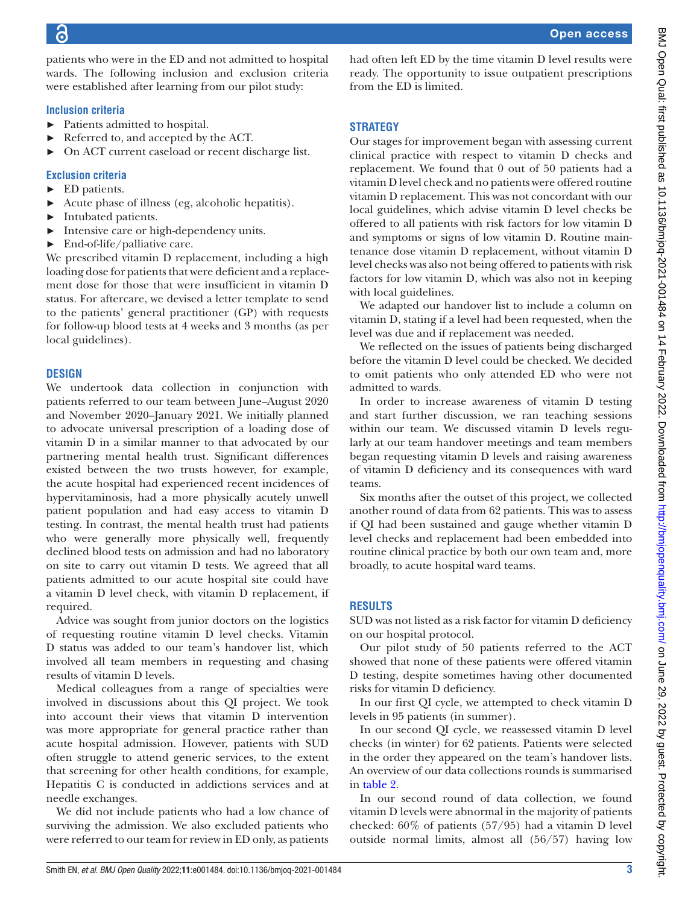patients who were in the ED and not admitted to hospital wards. The following inclusion and exclusion criteria were established after learning from our pilot study:

#### **Inclusion criteria**

- ► Patients admitted to hospital.
- ► Referred to, and accepted by the ACT.
- On ACT current caseload or recent discharge list.

#### **Exclusion criteria**

- ► ED patients.
- ► Acute phase of illness (eg, alcoholic hepatitis).
- ► Intubated patients.
- ► Intensive care or high-dependency units.
- $\blacktriangleright$  End-of-life/palliative care.

We prescribed vitamin D replacement, including a high loading dose for patients that were deficient and a replacement dose for those that were insufficient in vitamin D status. For aftercare, we devised a letter template to send to the patients' general practitioner (GP) with requests for follow-up blood tests at 4 weeks and 3 months (as per local guidelines).

#### **DESIGN**

We undertook data collection in conjunction with patients referred to our team between June–August 2020 and November 2020–January 2021. We initially planned to advocate universal prescription of a loading dose of vitamin D in a similar manner to that advocated by our partnering mental health trust. Significant differences existed between the two trusts however, for example, the acute hospital had experienced recent incidences of hypervitaminosis, had a more physically acutely unwell patient population and had easy access to vitamin D testing. In contrast, the mental health trust had patients who were generally more physically well, frequently declined blood tests on admission and had no laboratory on site to carry out vitamin D tests. We agreed that all patients admitted to our acute hospital site could have a vitamin D level check, with vitamin D replacement, if required.

Advice was sought from junior doctors on the logistics of requesting routine vitamin D level checks. Vitamin D status was added to our team's handover list, which involved all team members in requesting and chasing results of vitamin D levels.

Medical colleagues from a range of specialties were involved in discussions about this QI project. We took into account their views that vitamin D intervention was more appropriate for general practice rather than acute hospital admission. However, patients with SUD often struggle to attend generic services, to the extent that screening for other health conditions, for example, Hepatitis C is conducted in addictions services and at needle exchanges.

We did not include patients who had a low chance of surviving the admission. We also excluded patients who were referred to our team for review in ED only, as patients

had often left ED by the time vitamin D level results were ready. The opportunity to issue outpatient prescriptions from the ED is limited.

#### **STRATEGY**

Our stages for improvement began with assessing current clinical practice with respect to vitamin D checks and replacement. We found that 0 out of 50 patients had a vitamin D level check and no patients were offered routine vitamin D replacement. This was not concordant with our local guidelines, which advise vitamin D level checks be offered to all patients with risk factors for low vitamin D and symptoms or signs of low vitamin D. Routine maintenance dose vitamin D replacement, without vitamin D level checks was also not being offered to patients with risk factors for low vitamin D, which was also not in keeping with local guidelines.

We adapted our handover list to include a column on vitamin D, stating if a level had been requested, when the level was due and if replacement was needed.

We reflected on the issues of patients being discharged before the vitamin D level could be checked. We decided to omit patients who only attended ED who were not admitted to wards.

In order to increase awareness of vitamin D testing and start further discussion, we ran teaching sessions within our team. We discussed vitamin D levels regularly at our team handover meetings and team members began requesting vitamin D levels and raising awareness of vitamin D deficiency and its consequences with ward teams.

Six months after the outset of this project, we collected another round of data from 62 patients. This was to assess if QI had been sustained and gauge whether vitamin D level checks and replacement had been embedded into routine clinical practice by both our own team and, more broadly, to acute hospital ward teams.

#### **RESULTS**

SUD was not listed as a risk factor for vitamin D deficiency on our hospital protocol.

Our pilot study of 50 patients referred to the ACT showed that none of these patients were offered vitamin D testing, despite sometimes having other documented risks for vitamin D deficiency.

In our first QI cycle, we attempted to check vitamin D levels in 95 patients (in summer).

In our second QI cycle, we reassessed vitamin D level checks (in winter) for 62 patients. Patients were selected in the order they appeared on the team's handover lists. An overview of our data collections rounds is summarised in [table](#page-3-0) 2.

In our second round of data collection, we found vitamin D levels were abnormal in the majority of patients checked: 60% of patients (57/95) had a vitamin D level outside normal limits, almost all (56/57) having low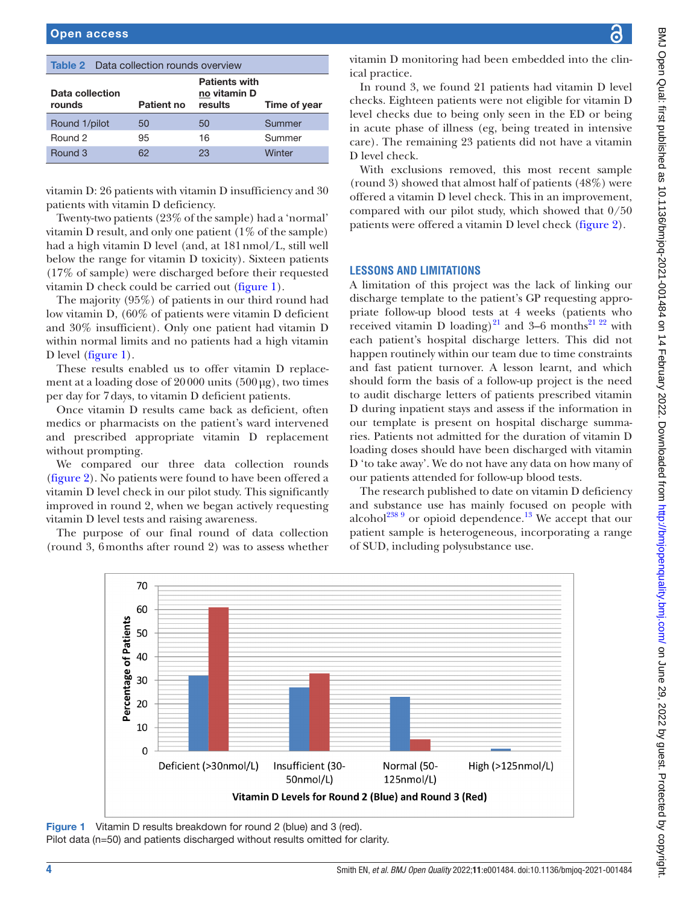#### <span id="page-3-0"></span>Table 2 Data collection rounds overview

| Data collection<br>rounds | Patient no | <b>Patients with</b><br>no vitamin D<br>results | Time of year |
|---------------------------|------------|-------------------------------------------------|--------------|
| Round 1/pilot             | 50         | 50                                              | Summer       |
| Round 2                   | 95         | 16                                              | Summer       |
| Round 3                   | 62         | 23                                              | Winter       |

vitamin D: 26 patients with vitamin D insufficiency and 30 patients with vitamin D deficiency.

Twenty-two patients (23% of the sample) had a 'normal' vitamin D result, and only one patient  $(1\% \text{ of the sample})$ had a high vitamin D level (and, at 181nmol/L, still well below the range for vitamin D toxicity). Sixteen patients (17% of sample) were discharged before their requested vitamin D check could be carried out [\(figure](#page-3-1) 1).

The majority (95%) of patients in our third round had low vitamin D, (60% of patients were vitamin D deficient and 30% insufficient). Only one patient had vitamin D within normal limits and no patients had a high vitamin D level [\(figure](#page-3-1) 1).

These results enabled us to offer vitamin D replacement at a loading dose of  $20000$  units  $(500 \mu g)$ , two times per day for 7days, to vitamin D deficient patients.

Once vitamin D results came back as deficient, often medics or pharmacists on the patient's ward intervened and prescribed appropriate vitamin D replacement without prompting.

We compared our three data collection rounds ([figure](#page-4-0) 2). No patients were found to have been offered a vitamin D level check in our pilot study. This significantly improved in round 2, when we began actively requesting vitamin D level tests and raising awareness.

The purpose of our final round of data collection (round 3, 6months after round 2) was to assess whether

BMJ Open Qual: first published as 10.1136/bmjoq-2021-001484 on 14 February 2022. Downloaded from http://bmjopenquality.bmj.com/ on June 29, 2022 by guest. Protected by copyright. BMJ Open Qual: first published as 10.1136/bmjoq-2021-001484 on 14 February 2022. Downloaded from http://bmj.com/ an <http://bmjopenquality.bmj.com/> on June 29, 2022 by guest. Protected by copyright.

vitamin D monitoring had been embedded into the clinical practice.

In round 3, we found 21 patients had vitamin D level checks. Eighteen patients were not eligible for vitamin D level checks due to being only seen in the ED or being in acute phase of illness (eg, being treated in intensive care). The remaining 23 patients did not have a vitamin D level check.

With exclusions removed, this most recent sample (round 3) showed that almost half of patients (48%) were offered a vitamin D level check. This in an improvement, compared with our pilot study, which showed that 0/50 patients were offered a vitamin D level check [\(figure](#page-4-0) 2).

#### **LESSONS AND LIMITATIONS**

A limitation of this project was the lack of linking our discharge template to the patient's GP requesting appropriate follow-up blood tests at 4 weeks (patients who received vitamin D loading)<sup>[21](#page-5-13)</sup> and 3–6 months<sup>21</sup> <sup>22</sup> with each patient's hospital discharge letters. This did not happen routinely within our team due to time constraints and fast patient turnover. A lesson learnt, and which should form the basis of a follow-up project is the need to audit discharge letters of patients prescribed vitamin D during inpatient stays and assess if the information in our template is present on hospital discharge summaries. Patients not admitted for the duration of vitamin D loading doses should have been discharged with vitamin D 'to take away'. We do not have any data on how many of our patients attended for follow-up blood tests.

The research published to date on vitamin D deficiency and substance use has mainly focused on people with alcohol<sup>[23](#page-5-14)[8 9](#page-5-3)</sup> or opioid dependence.<sup>13</sup> We accept that our patient sample is heterogeneous, incorporating a range of SUD, including polysubstance use.



<span id="page-3-1"></span>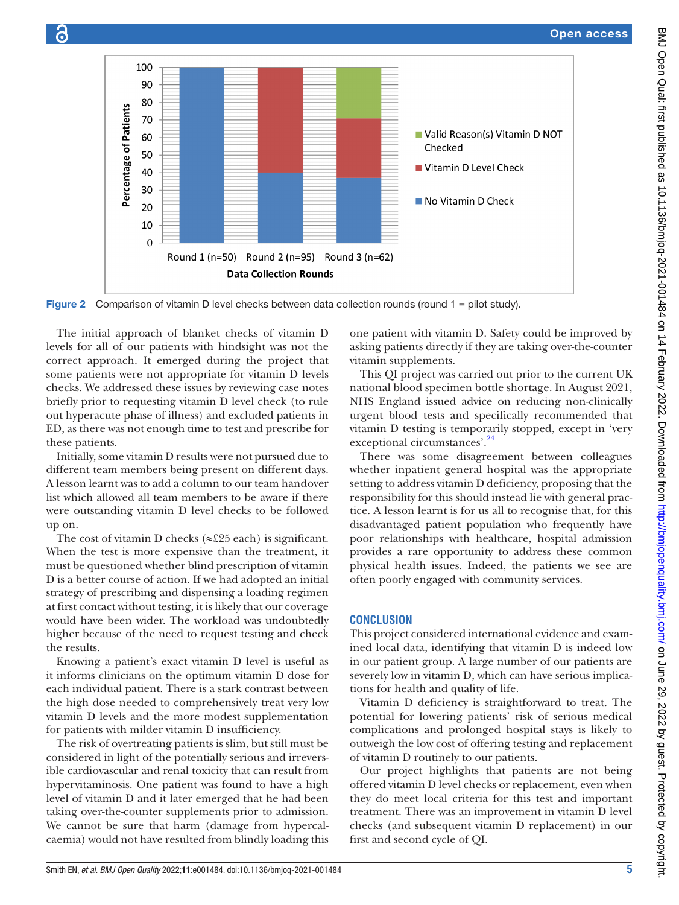

<span id="page-4-0"></span>Figure 2 Comparison of vitamin D level checks between data collection rounds (round 1 = pilot study).

The initial approach of blanket checks of vitamin D levels for all of our patients with hindsight was not the correct approach. It emerged during the project that some patients were not appropriate for vitamin D levels checks. We addressed these issues by reviewing case notes briefly prior to requesting vitamin D level check (to rule out hyperacute phase of illness) and excluded patients in ED, as there was not enough time to test and prescribe for these patients.

Initially, some vitamin D results were not pursued due to different team members being present on different days. A lesson learnt was to add a column to our team handover list which allowed all team members to be aware if there were outstanding vitamin D level checks to be followed up on.

The cost of vitamin D checks (≈£25 each) is significant. When the test is more expensive than the treatment, it must be questioned whether blind prescription of vitamin D is a better course of action. If we had adopted an initial strategy of prescribing and dispensing a loading regimen at first contact without testing, it is likely that our coverage would have been wider. The workload was undoubtedly higher because of the need to request testing and check the results.

Knowing a patient's exact vitamin D level is useful as it informs clinicians on the optimum vitamin D dose for each individual patient. There is a stark contrast between the high dose needed to comprehensively treat very low vitamin D levels and the more modest supplementation for patients with milder vitamin D insufficiency.

The risk of overtreating patients is slim, but still must be considered in light of the potentially serious and irreversible cardiovascular and renal toxicity that can result from hypervitaminosis. One patient was found to have a high level of vitamin D and it later emerged that he had been taking over-the-counter supplements prior to admission. We cannot be sure that harm (damage from hypercalcaemia) would not have resulted from blindly loading this

one patient with vitamin D. Safety could be improved by asking patients directly if they are taking over-the-counter vitamin supplements.

This QI project was carried out prior to the current UK national blood specimen bottle shortage. In August 2021, NHS England issued advice on reducing non-clinically urgent blood tests and specifically recommended that vitamin D testing is temporarily stopped, except in 'very exceptional circumstances'.<sup>24</sup>

There was some disagreement between colleagues whether inpatient general hospital was the appropriate setting to address vitamin D deficiency, proposing that the responsibility for this should instead lie with general practice. A lesson learnt is for us all to recognise that, for this disadvantaged patient population who frequently have poor relationships with healthcare, hospital admission provides a rare opportunity to address these common physical health issues. Indeed, the patients we see are often poorly engaged with community services.

#### **CONCLUSION**

This project considered international evidence and examined local data, identifying that vitamin D is indeed low in our patient group. A large number of our patients are severely low in vitamin D, which can have serious implications for health and quality of life.

Vitamin D deficiency is straightforward to treat. The potential for lowering patients' risk of serious medical complications and prolonged hospital stays is likely to outweigh the low cost of offering testing and replacement of vitamin D routinely to our patients.

Our project highlights that patients are not being offered vitamin D level checks or replacement, even when they do meet local criteria for this test and important treatment. There was an improvement in vitamin D level checks (and subsequent vitamin D replacement) in our first and second cycle of QI.